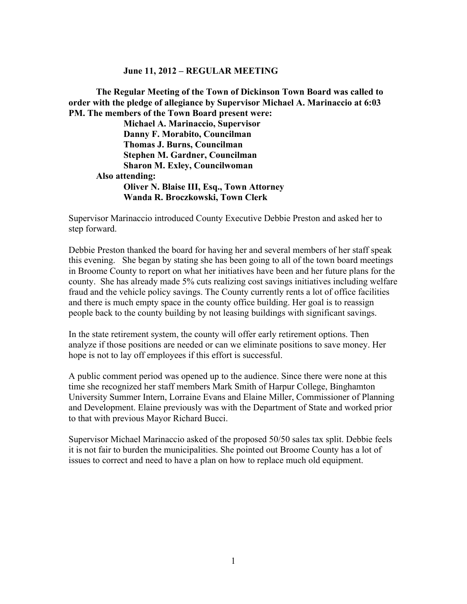#### **June 11, 2012 – REGULAR MEETING**

**The Regular Meeting of the Town of Dickinson Town Board was called to order with the pledge of allegiance by Supervisor Michael A. Marinaccio at 6:03 PM. The members of the Town Board present were: Michael A. Marinaccio, Supervisor Danny F. Morabito, Councilman Thomas J. Burns, Councilman Stephen M. Gardner, Councilman Sharon M. Exley, Councilwoman Also attending: Oliver N. Blaise III, Esq., Town Attorney Wanda R. Broczkowski, Town Clerk**

Supervisor Marinaccio introduced County Executive Debbie Preston and asked her to step forward.

Debbie Preston thanked the board for having her and several members of her staff speak this evening. She began by stating she has been going to all of the town board meetings in Broome County to report on what her initiatives have been and her future plans for the county. She has already made 5% cuts realizing cost savings initiatives including welfare fraud and the vehicle policy savings. The County currently rents a lot of office facilities and there is much empty space in the county office building. Her goal is to reassign people back to the county building by not leasing buildings with significant savings.

In the state retirement system, the county will offer early retirement options. Then analyze if those positions are needed or can we eliminate positions to save money. Her hope is not to lay off employees if this effort is successful.

A public comment period was opened up to the audience. Since there were none at this time she recognized her staff members Mark Smith of Harpur College, Binghamton University Summer Intern, Lorraine Evans and Elaine Miller, Commissioner of Planning and Development. Elaine previously was with the Department of State and worked prior to that with previous Mayor Richard Bucci.

Supervisor Michael Marinaccio asked of the proposed 50/50 sales tax split. Debbie feels it is not fair to burden the municipalities. She pointed out Broome County has a lot of issues to correct and need to have a plan on how to replace much old equipment.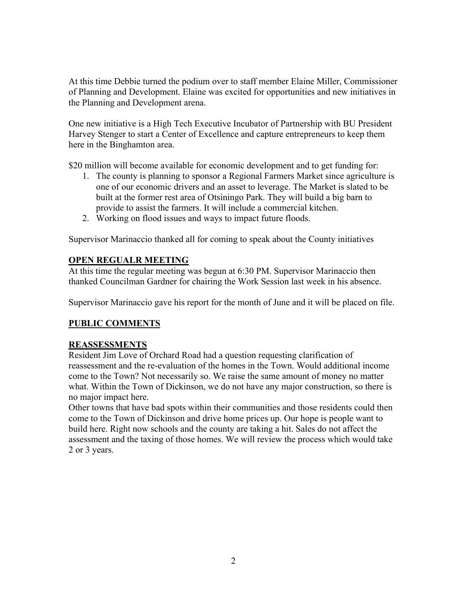At this time Debbie turned the podium over to staff member Elaine Miller, Commissioner of Planning and Development. Elaine was excited for opportunities and new initiatives in the Planning and Development arena.

One new initiative is a High Tech Executive Incubator of Partnership with BU President Harvey Stenger to start a Center of Excellence and capture entrepreneurs to keep them here in the Binghamton area.

\$20 million will become available for economic development and to get funding for:

- 1. The county is planning to sponsor a Regional Farmers Market since agriculture is one of our economic drivers and an asset to leverage. The Market is slated to be built at the former rest area of Otsiningo Park. They will build a big barn to provide to assist the farmers. It will include a commercial kitchen.
- 2. Working on flood issues and ways to impact future floods.

Supervisor Marinaccio thanked all for coming to speak about the County initiatives

# **OPEN REGUALR MEETING**

At this time the regular meeting was begun at 6:30 PM. Supervisor Marinaccio then thanked Councilman Gardner for chairing the Work Session last week in his absence.

Supervisor Marinaccio gave his report for the month of June and it will be placed on file.

# **PUBLIC COMMENTS**

#### **REASSESSMENTS**

Resident Jim Love of Orchard Road had a question requesting clarification of reassessment and the re-evaluation of the homes in the Town. Would additional income come to the Town? Not necessarily so. We raise the same amount of money no matter what. Within the Town of Dickinson, we do not have any major construction, so there is no major impact here.

Other towns that have bad spots within their communities and those residents could then come to the Town of Dickinson and drive home prices up. Our hope is people want to build here. Right now schools and the county are taking a hit. Sales do not affect the assessment and the taxing of those homes. We will review the process which would take 2 or 3 years.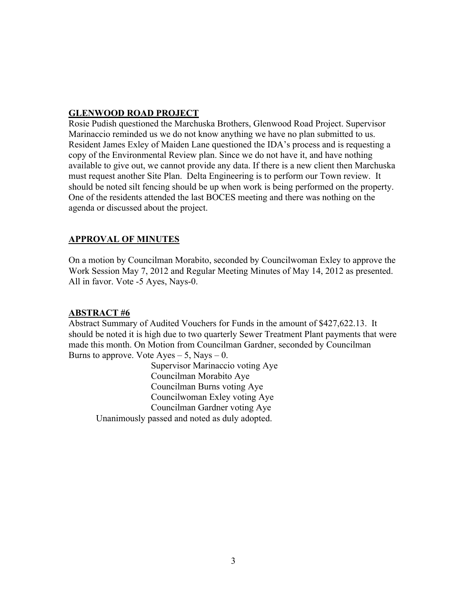#### **GLENWOOD ROAD PROJECT**

Rosie Pudish questioned the Marchuska Brothers, Glenwood Road Project. Supervisor Marinaccio reminded us we do not know anything we have no plan submitted to us. Resident James Exley of Maiden Lane questioned the IDA's process and is requesting a copy of the Environmental Review plan. Since we do not have it, and have nothing available to give out, we cannot provide any data. If there is a new client then Marchuska must request another Site Plan. Delta Engineering is to perform our Town review. It should be noted silt fencing should be up when work is being performed on the property. One of the residents attended the last BOCES meeting and there was nothing on the agenda or discussed about the project.

### **APPROVAL OF MINUTES**

On a motion by Councilman Morabito, seconded by Councilwoman Exley to approve the Work Session May 7, 2012 and Regular Meeting Minutes of May 14, 2012 as presented. All in favor. Vote -5 Ayes, Nays-0.

#### **ABSTRACT #6**

Abstract Summary of Audited Vouchers for Funds in the amount of \$427,622.13. It should be noted it is high due to two quarterly Sewer Treatment Plant payments that were made this month. On Motion from Councilman Gardner, seconded by Councilman Burns to approve. Vote  $Ayes - 5$ , Nays  $- 0$ .

Supervisor Marinaccio voting Aye Councilman Morabito Aye Councilman Burns voting Aye Councilwoman Exley voting Aye Councilman Gardner voting Aye Unanimously passed and noted as duly adopted.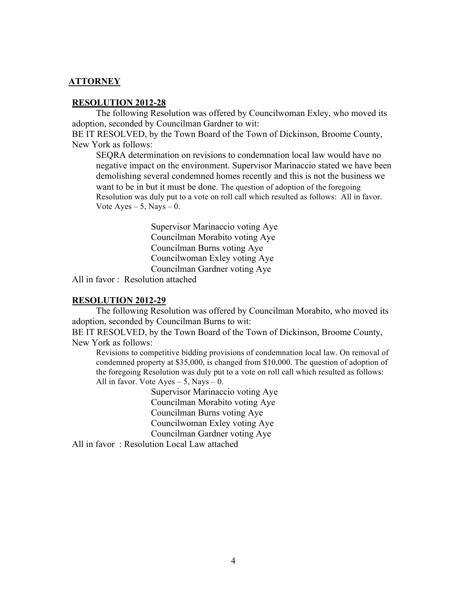#### **ATTORNEY**

#### **RESOLUTION 2012-28**

The following Resolution was offered by Councilwoman Exley, who moved its adoption, seconded by Councilman Gardner to wit:

BE IT RESOLVED, by the Town Board of the Town of Dickinson, Broome County, New York as follows:

SEQRA determination on revisions to condemnation local law would have no negative impact on the environment. Supervisor Marinaccio stated we have been demolishing several condemned homes recently and this is not the business we want to be in but it must be done. The question of adoption of the foregoing Resolution was duly put to a vote on roll call which resulted as follows: All in favor. Vote Ayes  $-5$ , Nays  $-0$ .

> Supervisor Marinaccio voting Aye Councilman Morabito voting Aye Councilman Burns voting Aye Councilwoman Exley voting Aye Councilman Gardner voting Aye

All in favor : Resolution attached

#### **RESOLUTION 2012-29**

The following Resolution was offered by Councilman Morabito, who moved its adoption, seconded by Councilman Burns to wit:

BE IT RESOLVED, by the Town Board of the Town of Dickinson, Broome County, New York as follows:

Revisions to competitive bidding provisions of condemnation local law. On removal of condemned property at \$35,000, is changed from \$10,000. The question of adoption of the foregoing Resolution was duly put to a vote on roll call which resulted as follows: All in favor. Vote  $Ayes - 5$ , Nays  $- 0$ .

> Supervisor Marinaccio voting Aye Councilman Morabito voting Aye Councilman Burns voting Aye Councilwoman Exley voting Aye Councilman Gardner voting Aye

All in favor : Resolution Local Law attached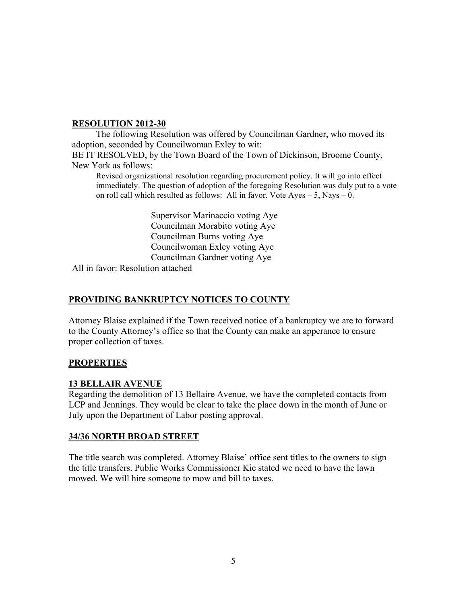### **RESOLUTION 2012-30**

The following Resolution was offered by Councilman Gardner, who moved its adoption, seconded by Councilwoman Exley to wit:

BE IT RESOLVED, by the Town Board of the Town of Dickinson, Broome County, New York as follows:

Revised organizational resolution regarding procurement policy. It will go into effect immediately. The question of adoption of the foregoing Resolution was duly put to a vote on roll call which resulted as follows: All in favor. Vote Ayes – 5, Nays – 0.

> Supervisor Marinaccio voting Aye Councilman Morabito voting Aye Councilman Burns voting Aye Councilwoman Exley voting Aye Councilman Gardner voting Aye

All in favor: Resolution attached

# **PROVIDING BANKRUPTCY NOTICES TO COUNTY**

Attorney Blaise explained if the Town received notice of a bankruptcy we are to forward to the County Attorney's office so that the County can make an apperance to ensure proper collection of taxes.

# **PROPERTIES**

# **13 BELLAIR AVENUE**

Regarding the demolition of 13 Bellaire Avenue, we have the completed contacts from LCP and Jennings. They would be clear to take the place down in the month of June or July upon the Department of Labor posting approval.

#### **34/36 NORTH BROAD STREET**

The title search was completed. Attorney Blaise' office sent titles to the owners to sign the title transfers. Public Works Commissioner Kie stated we need to have the lawn mowed. We will hire someone to mow and bill to taxes.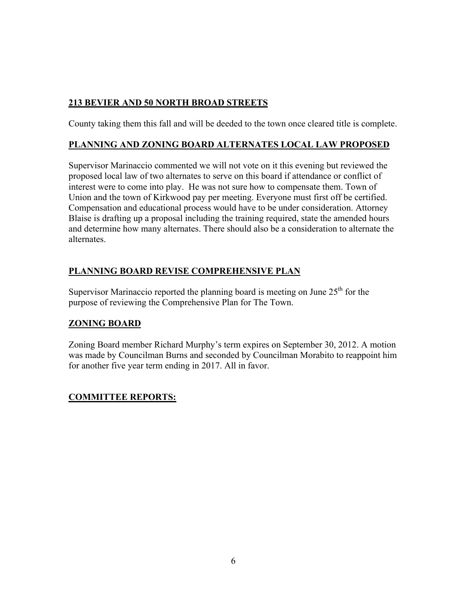# **213 BEVIER AND 50 NORTH BROAD STREETS**

County taking them this fall and will be deeded to the town once cleared title is complete.

# **PLANNING AND ZONING BOARD ALTERNATES LOCAL LAW PROPOSED**

Supervisor Marinaccio commented we will not vote on it this evening but reviewed the proposed local law of two alternates to serve on this board if attendance or conflict of interest were to come into play. He was not sure how to compensate them. Town of Union and the town of Kirkwood pay per meeting. Everyone must first off be certified. Compensation and educational process would have to be under consideration. Attorney Blaise is drafting up a proposal including the training required, state the amended hours and determine how many alternates. There should also be a consideration to alternate the alternates.

# **PLANNING BOARD REVISE COMPREHENSIVE PLAN**

Supervisor Marinaccio reported the planning board is meeting on June  $25<sup>th</sup>$  for the purpose of reviewing the Comprehensive Plan for The Town.

# **ZONING BOARD**

Zoning Board member Richard Murphy's term expires on September 30, 2012. A motion was made by Councilman Burns and seconded by Councilman Morabito to reappoint him for another five year term ending in 2017. All in favor.

# **COMMITTEE REPORTS:**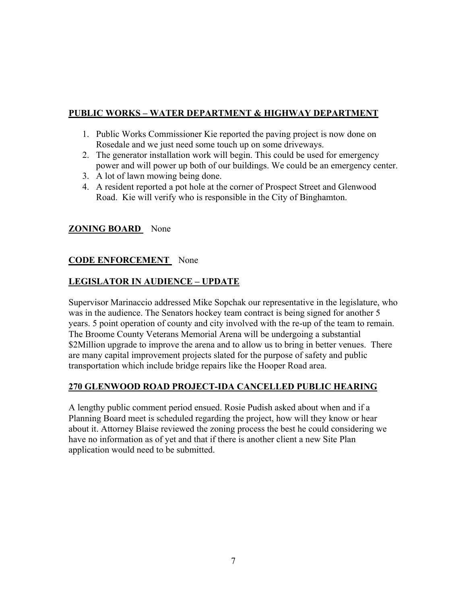### **PUBLIC WORKS – WATER DEPARTMENT & HIGHWAY DEPARTMENT**

- 1. Public Works Commissioner Kie reported the paving project is now done on Rosedale and we just need some touch up on some driveways.
- 2. The generator installation work will begin. This could be used for emergency power and will power up both of our buildings. We could be an emergency center.
- 3. A lot of lawn mowing being done.
- 4. A resident reported a pot hole at the corner of Prospect Street and Glenwood Road. Kie will verify who is responsible in the City of Binghamton.

# **ZONING BOARD** None

### **CODE ENFORCEMENT** None

# **LEGISLATOR IN AUDIENCE – UPDATE**

Supervisor Marinaccio addressed Mike Sopchak our representative in the legislature, who was in the audience. The Senators hockey team contract is being signed for another 5 years. 5 point operation of county and city involved with the re-up of the team to remain. The Broome County Veterans Memorial Arena will be undergoing a substantial \$2Million upgrade to improve the arena and to allow us to bring in better venues. There are many capital improvement projects slated for the purpose of safety and public transportation which include bridge repairs like the Hooper Road area.

#### **270 GLENWOOD ROAD PROJECT-IDA CANCELLED PUBLIC HEARING**

A lengthy public comment period ensued. Rosie Pudish asked about when and if a Planning Board meet is scheduled regarding the project, how will they know or hear about it. Attorney Blaise reviewed the zoning process the best he could considering we have no information as of yet and that if there is another client a new Site Plan application would need to be submitted.